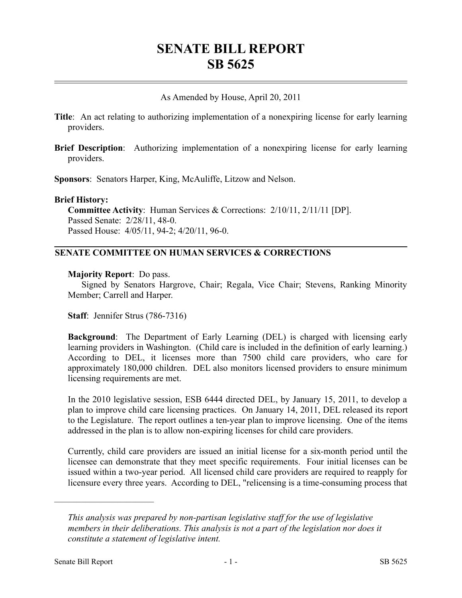# **SENATE BILL REPORT SB 5625**

As Amended by House, April 20, 2011

- **Title**: An act relating to authorizing implementation of a nonexpiring license for early learning providers.
- **Brief Description**: Authorizing implementation of a nonexpiring license for early learning providers.

**Sponsors**: Senators Harper, King, McAuliffe, Litzow and Nelson.

#### **Brief History:**

**Committee Activity**: Human Services & Corrections: 2/10/11, 2/11/11 [DP]. Passed Senate: 2/28/11, 48-0. Passed House: 4/05/11, 94-2; 4/20/11, 96-0.

### **SENATE COMMITTEE ON HUMAN SERVICES & CORRECTIONS**

#### **Majority Report**: Do pass.

Signed by Senators Hargrove, Chair; Regala, Vice Chair; Stevens, Ranking Minority Member; Carrell and Harper.

**Staff**: Jennifer Strus (786-7316)

**Background**: The Department of Early Learning (DEL) is charged with licensing early learning providers in Washington. (Child care is included in the definition of early learning.) According to DEL, it licenses more than 7500 child care providers, who care for approximately 180,000 children. DEL also monitors licensed providers to ensure minimum licensing requirements are met.

In the 2010 legislative session, ESB 6444 directed DEL, by January 15, 2011, to develop a plan to improve child care licensing practices. On January 14, 2011, DEL released its report to the Legislature. The report outlines a ten-year plan to improve licensing. One of the items addressed in the plan is to allow non-expiring licenses for child care providers.

Currently, child care providers are issued an initial license for a six-month period until the licensee can demonstrate that they meet specific requirements. Four initial licenses can be issued within a two-year period. All licensed child care providers are required to reapply for licensure every three years. According to DEL, "relicensing is a time-consuming process that

––––––––––––––––––––––

*This analysis was prepared by non-partisan legislative staff for the use of legislative members in their deliberations. This analysis is not a part of the legislation nor does it constitute a statement of legislative intent.*